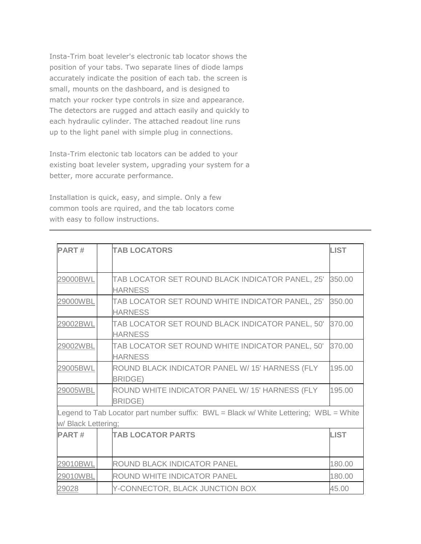Insta-Trim boat leveler's electronic tab locator shows the position of your tabs. Two separate lines of diode lamps accurately indicate the position of each tab. the screen is small, mounts on the dashboard, and is designed to match your rocker type controls in size and appearance. The detectors are rugged and attach easily and quickly to each hydraulic cylinder. The attached readout line runs up to the light panel with simple plug in connections.

Insta-Trim electonic tab locators can be added to your existing boat leveler system, upgrading your system for a better, more accurate performance.

Installation is quick, easy, and simple. Only a few common tools are rquired, and the tab locators come with easy to follow instructions.

| <b>PART#</b>        | <b>TAB LOCATORS</b>                                                                   | <b>LIST</b> |
|---------------------|---------------------------------------------------------------------------------------|-------------|
| 29000BWL            | TAB LOCATOR SET ROUND BLACK INDICATOR PANEL, 25'<br><b>HARNESS</b>                    | 350.00      |
| 29000WBL            | TAB LOCATOR SET ROUND WHITE INDICATOR PANEL, 25'<br><b>HARNESS</b>                    | 350.00      |
| 29002BWL            | TAB LOCATOR SET ROUND BLACK INDICATOR PANEL, 50'<br><b>HARNESS</b>                    | 370.00      |
| 29002WBL            | TAB LOCATOR SET ROUND WHITE INDICATOR PANEL, 50'<br><b>HARNESS</b>                    | 370.00      |
| 29005BWL            | ROUND BLACK INDICATOR PANEL W/ 15' HARNESS (FLY<br><b>BRIDGE)</b>                     | 195.00      |
| 29005WBL            | ROUND WHITE INDICATOR PANEL W/ 15' HARNESS (FLY<br><b>BRIDGE)</b>                     | 195.00      |
|                     | Legend to Tab Locator part number suffix: BWL = Black w/ White Lettering; WBL = White |             |
| w/ Black Lettering; |                                                                                       |             |
| <b>PART#</b>        | <b>TAB LOCATOR PARTS</b>                                                              | <b>LIST</b> |
| 29010BWL            | ROUND BLACK INDICATOR PANEL                                                           | 180.00      |
| 29010WBL            | ROUND WHITE INDICATOR PANEL                                                           | 180.00      |
| 29028               | Y-CONNECTOR, BLACK JUNCTION BOX                                                       | 45.00       |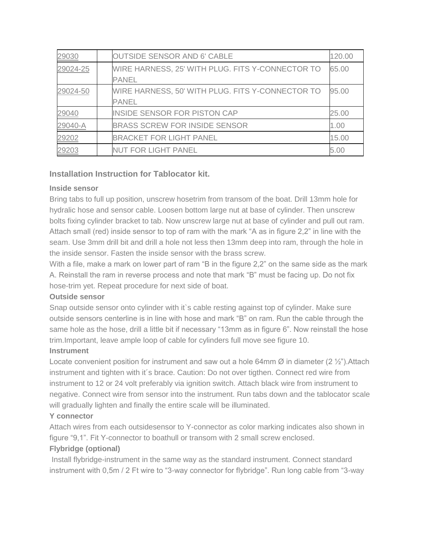| 29030    | <b>OUTSIDE SENSOR AND 6' CABLE</b>               | 120.00 |
|----------|--------------------------------------------------|--------|
| 29024-25 | WIRE HARNESS, 25' WITH PLUG. FITS Y-CONNECTOR TO | 65.00  |
|          | <b>PANEL</b>                                     |        |
| 29024-50 | WIRE HARNESS, 50' WITH PLUG. FITS Y-CONNECTOR TO | 95.00  |
|          | <b>PANEL</b>                                     |        |
| 29040    | <b>INSIDE SENSOR FOR PISTON CAP</b>              | 25.00  |
| 29040-A  | <b>BRASS SCREW FOR INSIDE SENSOR</b>             | 1.00   |
| 29202    | <b>BRACKET FOR LIGHT PANEL</b>                   | 15.00  |
| 29203    | <b>NUT FOR LIGHT PANEL</b>                       | 5.00   |

## **Installation Instruction for Tablocator kit.**

#### **Inside sensor**

Bring tabs to full up position, unscrew hosetrim from transom of the boat. Drill 13mm hole for hydralic hose and sensor cable. Loosen bottom large nut at base of cylinder. Then unscrew bolts fixing cylinder bracket to tab. Now unscrew large nut at base of cylinder and pull out ram. Attach small (red) inside sensor to top of ram with the mark "A as in figure 2,2" in line with the seam. Use 3mm drill bit and drill a hole not less then 13mm deep into ram, through the hole in the inside sensor. Fasten the inside sensor with the brass screw.

With a file, make a mark on lower part of ram "B in the figure 2,2" on the same side as the mark A. Reinstall the ram in reverse process and note that mark "B" must be facing up. Do not fix hose-trim yet. Repeat procedure for next side of boat.

### **Outside sensor**

Snap outside sensor onto cylinder with it's cable resting against top of cylinder. Make sure outside sensors centerline is in line with hose and mark "B" on ram. Run the cable through the same hole as the hose, drill a little bit if necessary "13mm as in figure 6". Now reinstall the hose trim.Important, leave ample loop of cable for cylinders full move see figure 10.

### **Instrument**

Locate convenient position for instrument and saw out a hole 64mm  $\emptyset$  in diameter (2  $\frac{1}{2}$ "). Attach instrument and tighten with it´s brace. Caution: Do not over tigthen. Connect red wire from instrument to 12 or 24 volt preferably via ignition switch. Attach black wire from instrument to negative. Connect wire from sensor into the instrument. Run tabs down and the tablocator scale will gradually lighten and finally the entire scale will be illuminated.

### **Y connector**

Attach wires from each outsidesensor to Y-connector as color marking indicates also shown in figure "9,1". Fit Y-connector to boathull or transom with 2 small screw enclosed.

#### **Flybridge (optional)**

Install flybridge-instrument in the same way as the standard instrument. Connect standard instrument with 0,5m / 2 Ft wire to "3-way connector for flybridge". Run long cable from "3-way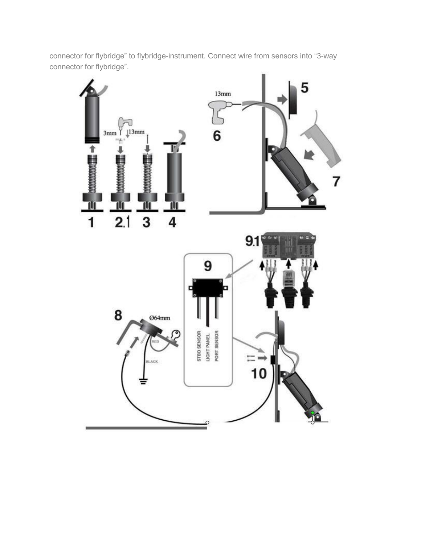connector for flybridge" to flybridge-instrument. Connect wire from sensors into "3-way connector for flybridge".